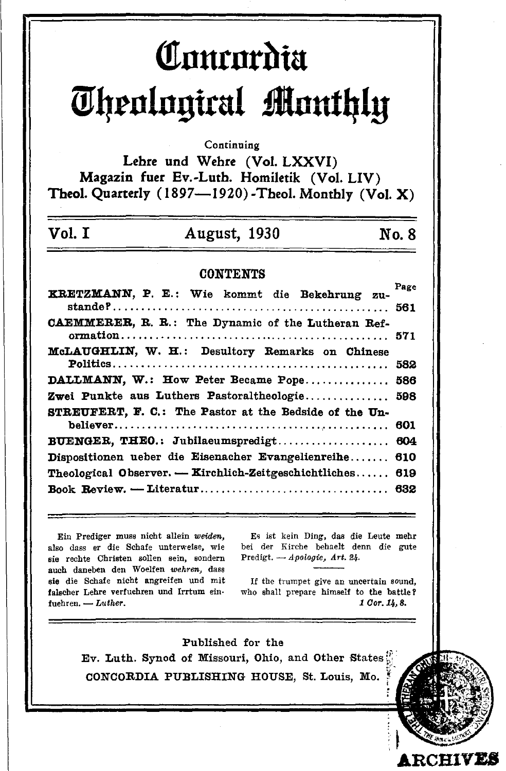# Concordia Theological Monthly

Continuing

Lehre und Wehre (Vol. LXXVI) Magazin fuer Ev.-Luth. Homiletik (Vol. LIV) Theol. Quarterly (1897-1920)-Theol. Monthly (Vol. X)

## **August, 1930**

No. 8

#### **CONTENTS**

| KRETZMANN, P. E.: Wie kommt die Bekehrung zu-          | Page |
|--------------------------------------------------------|------|
| CAEMMERER, R. R.: The Dynamic of the Lutheran Ref-     |      |
| McLAUGHLIN, W. H.: Desultory Remarks on Chinese        |      |
| DALLMANN, W.: How Peter Became Pope 586                |      |
| Zwei Punkte aus Luthers Pastoraltheologie 598          |      |
| STREUFERT. F. C.: The Pastor at the Bedside of the Un- |      |
|                                                        |      |
| BUENGER, THEO.: Jubilaeumspredigt                      | 604  |
| Dispositionen ueber die Eisenacher Evangelienreihe     | 610  |
| Theological Observer. - Kirchlich-Zeitgeschichtliches  | 619  |
|                                                        |      |

Ein Prediger muss nicht allein weiden, also dass er die Schafe unterweise, wie sie rechte Christen sollen sein, sondern auch daneben den Woelfen wehren, dass sie die Schafe nicht angreifen und mit falscher Lehre verfuehren und Irrtum einfuehren.  $-$  Luther.

Vol. T

Es ist kein Ding, das die Leute mehr bei der Kirche behaelt denn die gute Predigt. - Apologie, Art. 24.

If the trumpet give an uncertain sound. who shall prepare himself to the battle? 1 Cor. 14, 8.

**RCHIVES** 

Published for the Ev. Luth. Synod of Missouri, Ohio, and Other States CONCORDIA PUBLISHING HOUSE, St. Louis, Mo.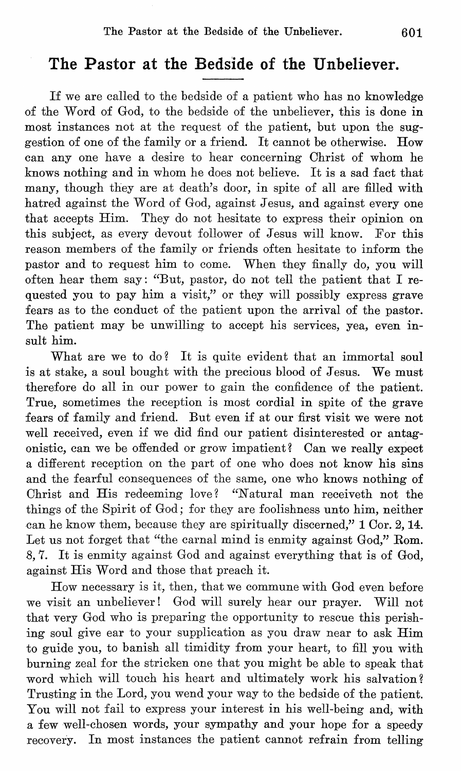#### **The Pastor at the Bedside of the Unbeliever.**

If we are called to the bedside of a patient who has no knowledge of the Word of God, to the bedside of the unbeliever, this is done in most instances not at the request of the patient, but upon the suggestion of one of the family or a friend. It cannot be otherwise. How can anyone have a desire to hear concerning Ohrist of whom he knows nothing and in whom he does not believe. It is a sad fact that many, though they are at death's door, in spite of all are filled with hatred against the Word of God, against Jesus, and against every one that accepts Him. They do not hesitate to express their opinion on this subject, as every devout follower of Jesus will know. For this reason members of the family or friends often hesitate to inform the pastor and to request him to come. When they finally do, you will often hear them say: "But, pastor, do not tell the patient that I requested you to pay him a visit," or they will possibly express grave fears as to the conduct of the patient upon the arrival of the pastor. The patient may be unwilling to accept his services, yea, even insult him.

What are we to do? It is quite evident that an immortal soul is at stake, a soul bought with the precious blood of Jesus. We must therefore do all in our power to gain the confidence of the patient. True, sometimes the reception is most cordial in spite of the grave fears of family and friend. But even if at our first visit we were not well received, even if we did find our patient disinterested or antagonistic, can we be offended or grow impatient? Oan we really expect a different reception on the part of one who does not know his sins and the fearful consequences of the same, one who knows nothing of Ohrist and His redeeming love? "N atural man receiveth not the things of the Spirit of God; for they are foolishness unto him, neither can he know them, because they are spiritually discerned," 1 Oor. 2, 14. Let us not forget that "the carnal mind is enmity against God," Rom. S,7. It is enmity against God and against everything that is of God, against His Word and those that preach it.

How necessary is it, then, that we commune with God even before we visit an unbeliever! God will surely hear our prayer. Will not that very God who is preparing the opportunity to rescue this perishing soul give ear to your supplication as you draw near to ask Him to guide you, to banish all timidity from your heart, to fill you with burning zeal for the stricken one that you might be able to speak that word which will touch his heart and ultimately work his salvation? Trusting in the Lord, you wend your way to the bedside of the patient. You will not fail to express your interest in his well-being and, with a few well-chosen words, your sympathy and your hope for a speedy recovery. In most instances the patient cannot refrain from telling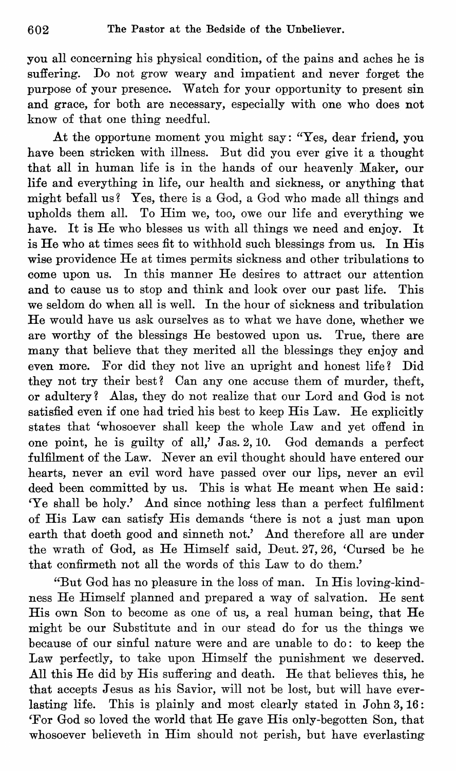you all concerning his physical condition, of the pains and aches he is suffering. Do not grow weary and impatient and never forget the purpose of your presence. Watch for your opportunity to present sin and grace, for both are necessary, especially with one who does not know of that one thing needful.

At the opportune moment you might say: "Yes, dear friend, you have been stricken with illness. But did you ever give it a thought that all in human life is in the hands of our heavenly Maker, our life and everything in life, our health and sickness, or anything that might befall us? Yes, there is a God, a God who made all things and upholds them all. To Him we, too, owe our life and everything we have. It is He who blesses us with all things we need and enjoy. It is He who at times sees fit to withhold such blessings from us. In His wise providence He at times permits sickness and other tribulations to come upon us. In this manner He desires to attract our attention and to cause us to stop and think and look over our past life. This we seldom do when all is well. In the hour of sickness and tribulation He would have us ask ourselves as to what we have done, whether we are worthy of the blessings He bestowed upon us. True, there are many that believe that they merited all the blessings they enjoy and even more. For did they not live an upright and honest life? Did they not try their best? Oan any one accuse them of murder, theft, or adultery? Alas, they do not realize that our Lord and God is not satisfied even if one had tried his best to keep His Law. He explicitly states that 'whosoever shall keep the whole Law and yet offend in one point, he is guilty of all,' Jas. 2, 10. God demands a perfect fulfilment of the Law. Never an evil thought should have entered our hearts, never an evil word have passed over our lips, never an evil deed been committed by us. This is what He meant when He said: 'Ye shall be holy.' And since nothing less than a perfect fulfilment of His Law can satisfy His demands 'there is not a just man upon earth that doeth good and sinneth not.' And therefore all are under the wrath of God, as He Himself said, Deut. 27, 26, 'Oursed be he that confirmeth not all the words of this Law to do them.'

"But God has no pleasure in the loss of man. In His loving-kindness He Himself planned and prepared a way of salvation. He sent His own Son to become as one of us, a real human being, that He might be our Substitute and in our stead do for us the things we because of our sinful nature were and are unable to do: to keep the Law perfectly, to take upon Himself the punishment we deserved. All this He did by His suffering and death. He that believes this, he that accepts Jesus as his Savior, will not be lost, but will have everlasting life. This is plainly and most clearly stated in  $John\ 3, 16$ : 'For God so loved the world that He gave His only-begotten Son, that whosoever believeth in Him should not perish, but have everlasting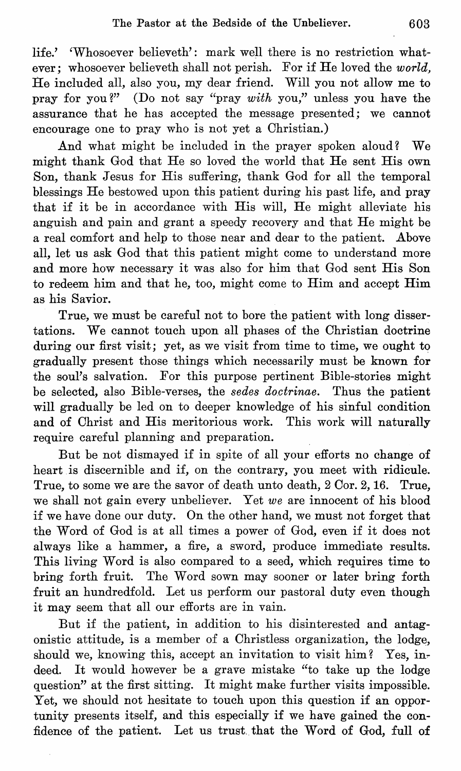life.' 'Whosoever believeth': mark well there is no restriction whatever; whosoever believeth shall not perish. For if He loved the *world,*  He included all, also you, my dear friend. Will you not allow me to pray for you?" (Do not say "pray *with* you," unless you have the assurance that he has accepted the message presented; we cannot encourage one to pray who is not yet a Christian.)

And what might be included in the prayer spoken aloud? We might thank God that He so loved the world that He sent His own Son, thank Jesus for His suffering, thank God for all the temporal blessings He bestowed upon this patient during his past life, and pray that if it be in accordance with His will, He might alleviate his anguish and pain and grant a speedy recovery and that He might be a real comfort and help to those near and dear to the patient. Above all, let us ask God that this patient might come to understand more and more how necessary it was also for him that God sent His Son to redeem him and that he, too, might come to Him and accept Him as his Savior.

True, we must be careful not to bore the patient with long dissertations. We cannot touch upon all phases of the Christian doctrine during our first visit; yet, as we visit from time to time, we ought to gradually present those things which necessarily must be known for the soul's salvation. For this purpose pertinent Bible-stories might be selected, also Bible-verses, the *sedes doctrinae.* Thus the patient will gradually be led on to deeper knowledge of his sinful condition and of Christ and His meritorious work. This work will naturally require careful planning and preparation.

But be not dismayed if in spite of all your efforts no change of heart is discernible and if, on the contrary, you meet with ridicule. True, to some we are the savor of death unto death, 2 Cor. 2, 16. True, we shall not gain every unbeliever. Yet *we* are innocent of his blood if we have done our duty. On the other hand, we must not forget that the Word of God is at all times a power of God, even if it does not always like a hammer, a fire, a sword, produce immediate results. This living Word is also compared to a seed, which requires time to bring forth fruit. The Word sown may sooner or later bring forth fruit an hundredfold. Let us perform our pastoral duty even though it may seem that all our efforts are in vain.

But if the patient, in addition to his disinterested and antagonistic attitude, is a member of a Christless organization, the lodge, should we, knowing this, accept an invitation to visit him? Yes, indeed. It would however be a grave mistake "to take up the lodge question" at the first sitting. It might make further visits impossible. Yet, we should not hesitate to touch upon this question if an opportunity presents itself, and this especially if we have gained the confidence of the patient. Let us trust. that the Word of God, full of